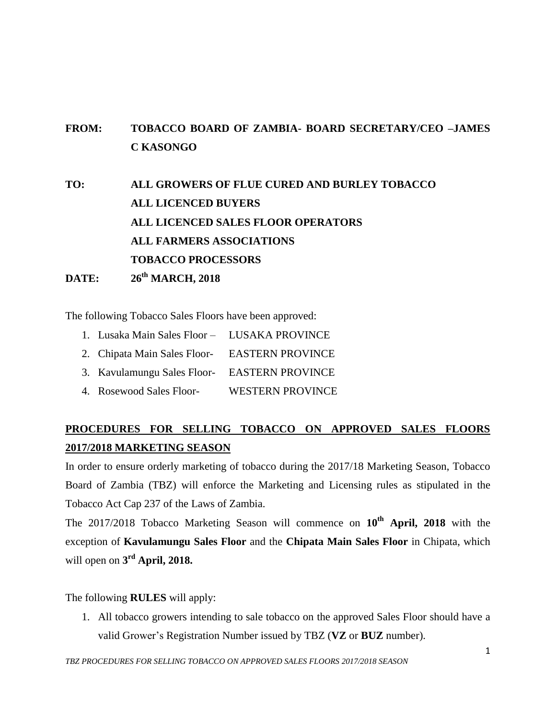## **FROM: TOBACCO BOARD OF ZAMBIA- BOARD SECRETARY/CEO –JAMES C KASONGO**

**TO: ALL GROWERS OF FLUE CURED AND BURLEY TOBACCO ALL LICENCED BUYERS ALL LICENCED SALES FLOOR OPERATORS ALL FARMERS ASSOCIATIONS TOBACCO PROCESSORS DATE: 26 th MARCH, 2018**

The following Tobacco Sales Floors have been approved:

- 1. Lusaka Main Sales Floor LUSAKA PROVINCE
- 2. Chipata Main Sales Floor- EASTERN PROVINCE
- 3. Kavulamungu Sales Floor- EASTERN PROVINCE
- 4. Rosewood Sales Floor- WESTERN PROVINCE

## **PROCEDURES FOR SELLING TOBACCO ON APPROVED SALES FLOORS 2017/2018 MARKETING SEASON**

In order to ensure orderly marketing of tobacco during the 2017/18 Marketing Season, Tobacco Board of Zambia (TBZ) will enforce the Marketing and Licensing rules as stipulated in the Tobacco Act Cap 237 of the Laws of Zambia.

The 2017/2018 Tobacco Marketing Season will commence on **10th April, 2018** with the exception of **Kavulamungu Sales Floor** and the **Chipata Main Sales Floor** in Chipata, which will open on **3 rd April, 2018.**

The following **RULES** will apply:

1. All tobacco growers intending to sale tobacco on the approved Sales Floor should have a valid Grower's Registration Number issued by TBZ (**VZ** or **BUZ** number).

*TBZ PROCEDURES FOR SELLING TOBACCO ON APPROVED SALES FLOORS 2017/2018 SEASON*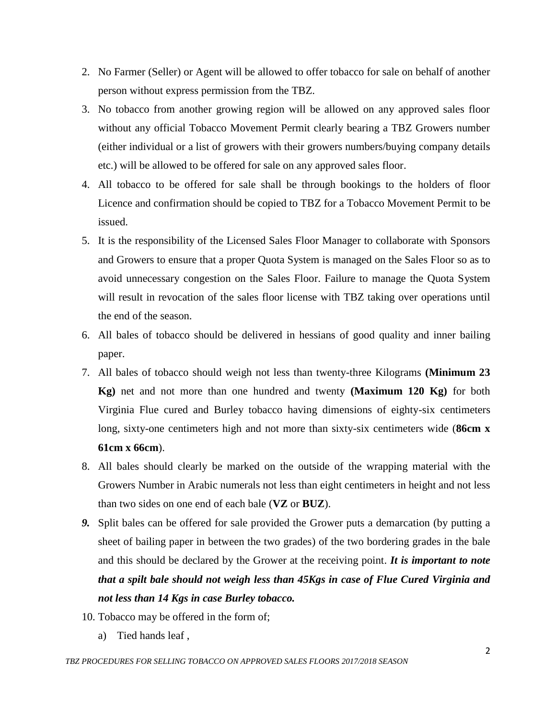- 2. No Farmer (Seller) or Agent will be allowed to offer tobacco for sale on behalf of another person without express permission from the TBZ.
- 3. No tobacco from another growing region will be allowed on any approved sales floor without any official Tobacco Movement Permit clearly bearing a TBZ Growers number (either individual or a list of growers with their growers numbers/buying company details etc.) will be allowed to be offered for sale on any approved sales floor.
- 4. All tobacco to be offered for sale shall be through bookings to the holders of floor Licence and confirmation should be copied to TBZ for a Tobacco Movement Permit to be issued.
- 5. It is the responsibility of the Licensed Sales Floor Manager to collaborate with Sponsors and Growers to ensure that a proper Quota System is managed on the Sales Floor so as to avoid unnecessary congestion on the Sales Floor. Failure to manage the Quota System will result in revocation of the sales floor license with TBZ taking over operations until the end of the season.
- 6. All bales of tobacco should be delivered in hessians of good quality and inner bailing paper.
- 7. All bales of tobacco should weigh not less than twenty-three Kilograms **(Minimum 23 Kg)** net and not more than one hundred and twenty **(Maximum 120 Kg)** for both Virginia Flue cured and Burley tobacco having dimensions of eighty-six centimeters long, sixty-one centimeters high and not more than sixty-six centimeters wide (**86cm x 61cm x 66cm**).
- 8. All bales should clearly be marked on the outside of the wrapping material with the Growers Number in Arabic numerals not less than eight centimeters in height and not less than two sides on one end of each bale (**VZ** or **BUZ**).
- *9.* Split bales can be offered for sale provided the Grower puts a demarcation (by putting a sheet of bailing paper in between the two grades) of the two bordering grades in the bale and this should be declared by the Grower at the receiving point. *It is important to note that a spilt bale should not weigh less than 45Kgs in case of Flue Cured Virginia and not less than 14 Kgs in case Burley tobacco.*
- 10. Tobacco may be offered in the form of;
	- a) Tied hands leaf ,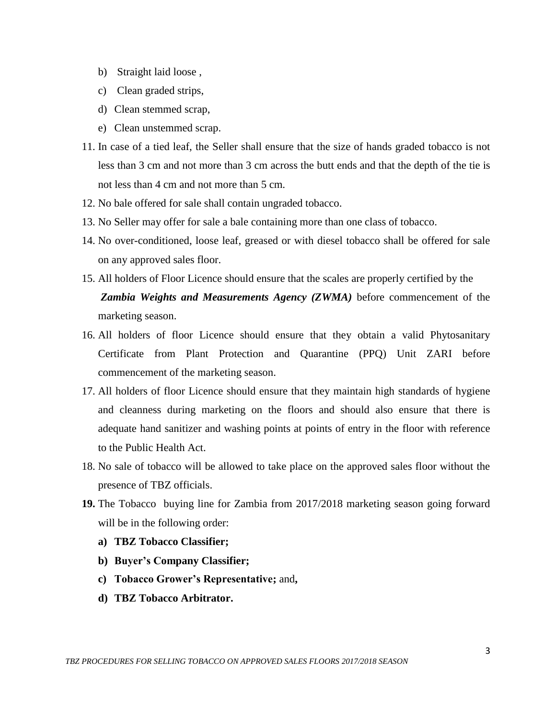- b) Straight laid loose,
- c) Clean graded strips,
- d) Clean stemmed scrap,
- e) Clean unstemmed scrap.
- 11. In case of a tied leaf, the Seller shall ensure that the size of hands graded tobacco is not less than 3 cm and not more than 3 cm across the butt ends and that the depth of the tie is not less than 4 cm and not more than 5 cm.
- 12. No bale offered for sale shall contain ungraded tobacco.
- 13. No Seller may offer for sale a bale containing more than one class of tobacco.
- 14. No over-conditioned, loose leaf, greased or with diesel tobacco shall be offered for sale on any approved sales floor.
- 15. All holders of Floor Licence should ensure that the scales are properly certified by the *Zambia Weights and Measurements Agency (ZWMA)* before commencement of the marketing season.
- 16. All holders of floor Licence should ensure that they obtain a valid Phytosanitary Certificate from Plant Protection and Quarantine (PPQ) Unit ZARI before commencement of the marketing season.
- 17. All holders of floor Licence should ensure that they maintain high standards of hygiene and cleanness during marketing on the floors and should also ensure that there is adequate hand sanitizer and washing points at points of entry in the floor with reference to the Public Health Act.
- 18. No sale of tobacco will be allowed to take place on the approved sales floor without the presence of TBZ officials.
- **19.** The Tobacco buying line for Zambia from 2017/2018 marketing season going forward will be in the following order:
	- **a) TBZ Tobacco Classifier;**
	- **b) Buyer's Company Classifier;**
	- **c) Tobacco Grower's Representative;** and**,**
	- **d) TBZ Tobacco Arbitrator.**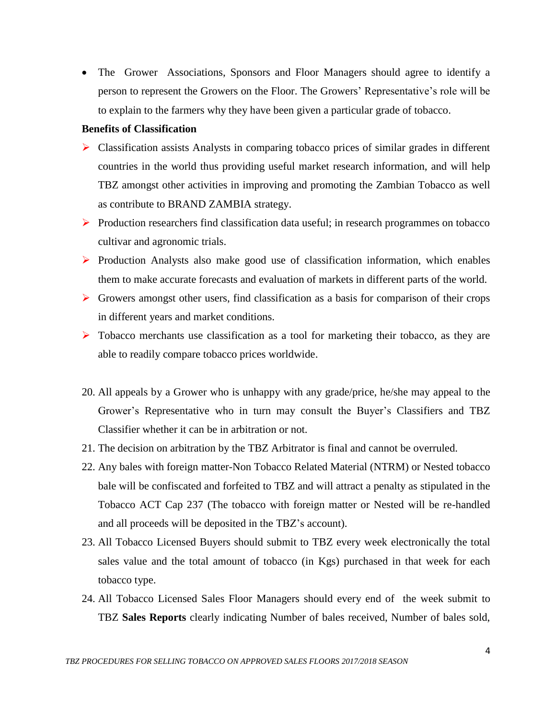The Grower Associations, Sponsors and Floor Managers should agree to identify a person to represent the Growers on the Floor. The Growers' Representative's role will be to explain to the farmers why they have been given a particular grade of tobacco.

## **Benefits of Classification**

- Classification assists Analysts in comparing tobacco prices of similar grades in different countries in the world thus providing useful market research information, and will help TBZ amongst other activities in improving and promoting the Zambian Tobacco as well as contribute to BRAND ZAMBIA strategy.
- $\triangleright$  Production researchers find classification data useful; in research programmes on tobacco cultivar and agronomic trials.
- $\triangleright$  Production Analysts also make good use of classification information, which enables them to make accurate forecasts and evaluation of markets in different parts of the world.
- $\triangleright$  Growers amongst other users, find classification as a basis for comparison of their crops in different years and market conditions.
- $\triangleright$  Tobacco merchants use classification as a tool for marketing their tobacco, as they are able to readily compare tobacco prices worldwide.
- 20. All appeals by a Grower who is unhappy with any grade/price, he/she may appeal to the Grower's Representative who in turn may consult the Buyer's Classifiers and TBZ Classifier whether it can be in arbitration or not.
- 21. The decision on arbitration by the TBZ Arbitrator is final and cannot be overruled.
- 22. Any bales with foreign matter-Non Tobacco Related Material (NTRM) or Nested tobacco bale will be confiscated and forfeited to TBZ and will attract a penalty as stipulated in the Tobacco ACT Cap 237 (The tobacco with foreign matter or Nested will be re-handled and all proceeds will be deposited in the TBZ's account).
- 23. All Tobacco Licensed Buyers should submit to TBZ every week electronically the total sales value and the total amount of tobacco (in Kgs) purchased in that week for each tobacco type.
- 24. All Tobacco Licensed Sales Floor Managers should every end of the week submit to TBZ **Sales Reports** clearly indicating Number of bales received, Number of bales sold,